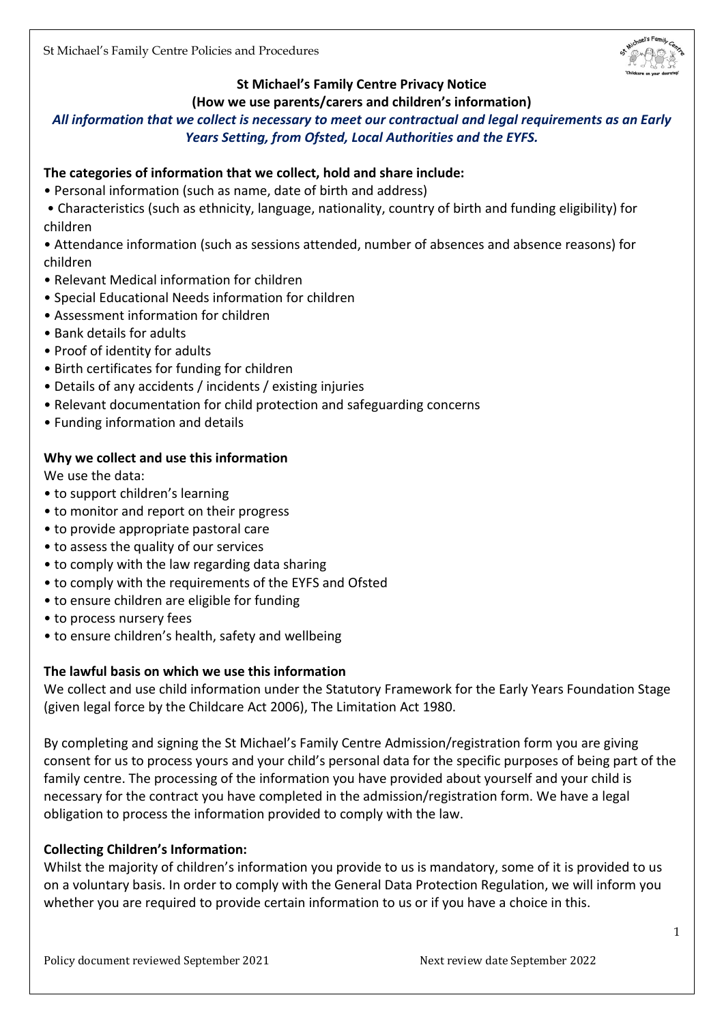

# **St Michael's Family Centre Privacy Notice**

#### **(How we use parents/carers and children's information)**

# *All information that we collect is necessary to meet our contractual and legal requirements as an Early Years Setting, from Ofsted, Local Authorities and the EYFS.*

## **The categories of information that we collect, hold and share include:**

- Personal information (such as name, date of birth and address)
- Characteristics (such as ethnicity, language, nationality, country of birth and funding eligibility) for children
- Attendance information (such as sessions attended, number of absences and absence reasons) for children
- Relevant Medical information for children
- Special Educational Needs information for children
- Assessment information for children
- Bank details for adults
- Proof of identity for adults
- Birth certificates for funding for children
- Details of any accidents / incidents / existing injuries
- Relevant documentation for child protection and safeguarding concerns
- Funding information and details

#### **Why we collect and use this information**

We use the data:

- to support children's learning
- to monitor and report on their progress
- to provide appropriate pastoral care
- to assess the quality of our services
- to comply with the law regarding data sharing
- to comply with the requirements of the EYFS and Ofsted
- to ensure children are eligible for funding
- to process nursery fees
- to ensure children's health, safety and wellbeing

#### **The lawful basis on which we use this information**

We collect and use child information under the Statutory Framework for the Early Years Foundation Stage (given legal force by the Childcare Act 2006), The Limitation Act 1980.

By completing and signing the St Michael's Family Centre Admission/registration form you are giving consent for us to process yours and your child's personal data for the specific purposes of being part of the family centre. The processing of the information you have provided about yourself and your child is necessary for the contract you have completed in the admission/registration form. We have a legal obligation to process the information provided to comply with the law.

#### **Collecting Children's Information:**

Whilst the majority of children's information you provide to us is mandatory, some of it is provided to us on a voluntary basis. In order to comply with the General Data Protection Regulation, we will inform you whether you are required to provide certain information to us or if you have a choice in this.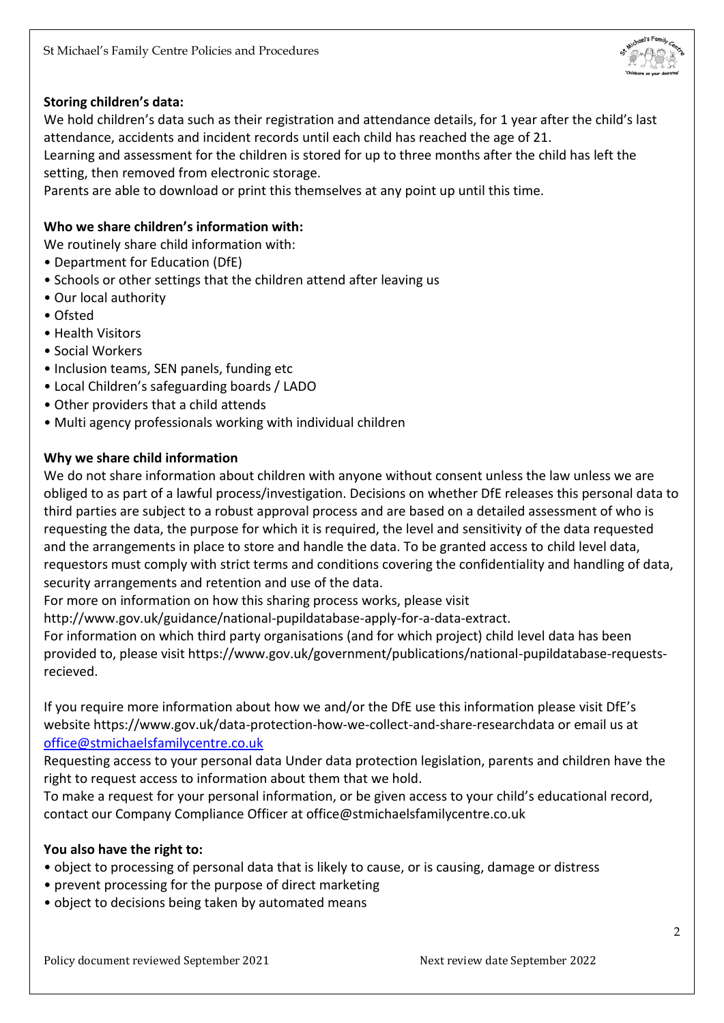

### **Storing children's data:**

We hold children's data such as their registration and attendance details, for 1 year after the child's last attendance, accidents and incident records until each child has reached the age of 21.

Learning and assessment for the children is stored for up to three months after the child has left the setting, then removed from electronic storage.

Parents are able to download or print this themselves at any point up until this time.

### **Who we share children's information with:**

We routinely share child information with:

- Department for Education (DfE)
- Schools or other settings that the children attend after leaving us
- Our local authority
- Ofsted
- Health Visitors
- Social Workers
- Inclusion teams, SEN panels, funding etc
- Local Children's safeguarding boards / LADO
- Other providers that a child attends
- Multi agency professionals working with individual children

#### **Why we share child information**

We do not share information about children with anyone without consent unless the law unless we are obliged to as part of a lawful process/investigation. Decisions on whether DfE releases this personal data to third parties are subject to a robust approval process and are based on a detailed assessment of who is requesting the data, the purpose for which it is required, the level and sensitivity of the data requested and the arrangements in place to store and handle the data. To be granted access to child level data, requestors must comply with strict terms and conditions covering the confidentiality and handling of data, security arrangements and retention and use of the data.

For more on information on how this sharing process works, please visit

http://www.gov.uk/guidance/national-pupildatabase-apply-for-a-data-extract.

For information on which third party organisations (and for which project) child level data has been provided to, please visit https://www.gov.uk/government/publications/national-pupildatabase-requestsrecieved.

If you require more information about how we and/or the DfE use this information please visit DfE's website https://www.gov.uk/data-protection-how-we-collect-and-share-researchdata or email us at [office@stmichaelsfamilycentre.co.uk](mailto:office@stmichaelsfamilycentre.co.uk)

Requesting access to your personal data Under data protection legislation, parents and children have the right to request access to information about them that we hold.

To make a request for your personal information, or be given access to your child's educational record, contact our Company Compliance Officer at office@stmichaelsfamilycentre.co.uk

#### **You also have the right to:**

- object to processing of personal data that is likely to cause, or is causing, damage or distress
- prevent processing for the purpose of direct marketing
- object to decisions being taken by automated means